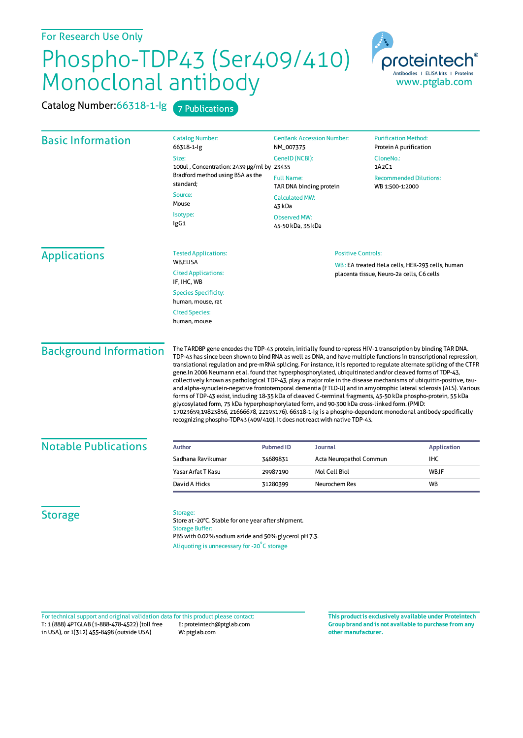## Phospho-TDP43 (Ser409/410) Monoclonal antibody

| Catalog Number: 66318-1-lg    | 7 Publications                                                                                                                                                                                                                                                                                                                                                                                                                                                                                                                                                                                                                                                                                                                                                                                                                                                                                                                                                                                                                                                                                                                       |                                                    |                                                                    |                                                                                              |                                                       |  |
|-------------------------------|--------------------------------------------------------------------------------------------------------------------------------------------------------------------------------------------------------------------------------------------------------------------------------------------------------------------------------------------------------------------------------------------------------------------------------------------------------------------------------------------------------------------------------------------------------------------------------------------------------------------------------------------------------------------------------------------------------------------------------------------------------------------------------------------------------------------------------------------------------------------------------------------------------------------------------------------------------------------------------------------------------------------------------------------------------------------------------------------------------------------------------------|----------------------------------------------------|--------------------------------------------------------------------|----------------------------------------------------------------------------------------------|-------------------------------------------------------|--|
| <b>Basic Information</b>      | <b>Catalog Number:</b><br>66318-1-lg                                                                                                                                                                                                                                                                                                                                                                                                                                                                                                                                                                                                                                                                                                                                                                                                                                                                                                                                                                                                                                                                                                 | NM_007375                                          | <b>GenBank Accession Number:</b>                                   |                                                                                              | <b>Purification Method:</b><br>Protein A purification |  |
|                               | Size:<br>100ul, Concentration: 2439 µg/ml by 23435<br>Bradford method using BSA as the                                                                                                                                                                                                                                                                                                                                                                                                                                                                                                                                                                                                                                                                                                                                                                                                                                                                                                                                                                                                                                               | <b>Full Name:</b>                                  | GenelD (NCBI):<br>TAR DNA binding protein<br><b>Calculated MW:</b> |                                                                                              | CloneNo.:<br>1A2C1<br><b>Recommended Dilutions:</b>   |  |
|                               | standard:<br>Source:                                                                                                                                                                                                                                                                                                                                                                                                                                                                                                                                                                                                                                                                                                                                                                                                                                                                                                                                                                                                                                                                                                                 |                                                    |                                                                    |                                                                                              |                                                       |  |
|                               | Mouse<br>Isotype:<br>lgG1                                                                                                                                                                                                                                                                                                                                                                                                                                                                                                                                                                                                                                                                                                                                                                                                                                                                                                                                                                                                                                                                                                            | 43 kDa<br><b>Observed MW:</b><br>45-50 kDa, 35 kDa |                                                                    |                                                                                              |                                                       |  |
| <b>Applications</b>           | <b>Tested Applications:</b>                                                                                                                                                                                                                                                                                                                                                                                                                                                                                                                                                                                                                                                                                                                                                                                                                                                                                                                                                                                                                                                                                                          |                                                    | <b>Positive Controls:</b>                                          |                                                                                              |                                                       |  |
|                               | WB,ELISA<br><b>Cited Applications:</b><br>IF, IHC, WB                                                                                                                                                                                                                                                                                                                                                                                                                                                                                                                                                                                                                                                                                                                                                                                                                                                                                                                                                                                                                                                                                |                                                    |                                                                    | WB: EA treated HeLa cells, HEK-293 cells, human<br>placenta tissue, Neuro-2a cells, C6 cells |                                                       |  |
|                               | <b>Species Specificity:</b><br>human, mouse, rat                                                                                                                                                                                                                                                                                                                                                                                                                                                                                                                                                                                                                                                                                                                                                                                                                                                                                                                                                                                                                                                                                     |                                                    |                                                                    |                                                                                              |                                                       |  |
|                               | <b>Cited Species:</b><br>human, mouse                                                                                                                                                                                                                                                                                                                                                                                                                                                                                                                                                                                                                                                                                                                                                                                                                                                                                                                                                                                                                                                                                                |                                                    |                                                                    |                                                                                              |                                                       |  |
| <b>Background Information</b> | The TARDBP gene encodes the TDP-43 protein, initially found to repress HIV-1 transcription by binding TAR DNA.<br>TDP-43 has since been shown to bind RNA as well as DNA, and have multiple functions in transcriptional repression,<br>translational regulation and pre-mRNA splicing. For instance, it is reported to regulate alternate splicing of the CTFR<br>gene.In 2006 Neumann et al. found that hyperphosphorylated, ubiquitinated and/or cleaved forms of TDP-43,<br>collectively known as pathological TDP-43, play a major role in the disease mechanisms of ubiquitin-positive, tau-<br>and alpha-synuclein-negative frontotemporal dementia (FTLD-U) and in amyotrophic lateral sclerosis (ALS). Various<br>forms of TDP-43 exist, including 18-35 kDa of cleaved C-terminal fragments, 45-50 kDa phospho-protein, 55 kDa<br>glycosylated form, 75 kDa hyperphosphorylated form, and 90-300 kDa cross-linked form. (PMID:<br>17023659,19823856, 21666678, 22193176). 66318-1-1g is a phospho-dependent monoclonal antibody specifically<br>recognizing phospho-TDP43 (409/410). It does not react with native TDP-43. |                                                    |                                                                    |                                                                                              |                                                       |  |
| <b>Notable Publications</b>   | <b>Author</b>                                                                                                                                                                                                                                                                                                                                                                                                                                                                                                                                                                                                                                                                                                                                                                                                                                                                                                                                                                                                                                                                                                                        | <b>Pubmed ID</b>                                   | Journal                                                            |                                                                                              | <b>Application</b>                                    |  |
|                               | Sadhana Ravikumar                                                                                                                                                                                                                                                                                                                                                                                                                                                                                                                                                                                                                                                                                                                                                                                                                                                                                                                                                                                                                                                                                                                    | 34689831                                           | Acta Neuropathol Commun                                            |                                                                                              | IHC                                                   |  |
|                               | Yasar Arfat T Kasu                                                                                                                                                                                                                                                                                                                                                                                                                                                                                                                                                                                                                                                                                                                                                                                                                                                                                                                                                                                                                                                                                                                   | 29987190                                           | Mol Cell Biol                                                      |                                                                                              | WB,IF                                                 |  |
|                               | David A Hicks                                                                                                                                                                                                                                                                                                                                                                                                                                                                                                                                                                                                                                                                                                                                                                                                                                                                                                                                                                                                                                                                                                                        | 31280399                                           | Neurochem Res                                                      |                                                                                              | WB                                                    |  |
| <b>Storage</b>                | Storage:<br>Store at -20°C. Stable for one year after shipment.<br><b>Storage Buffer:</b><br>PBS with 0.02% sodium azide and 50% glycerol pH 7.3.<br>Aliquoting is unnecessary for -20°C storage                                                                                                                                                                                                                                                                                                                                                                                                                                                                                                                                                                                                                                                                                                                                                                                                                                                                                                                                     |                                                    |                                                                    |                                                                                              |                                                       |  |

T: 1 (888) 4PTGLAB (1-888-478-4522) (toll free in USA), or 1(312) 455-8498 (outside USA) E: proteintech@ptglab.com W: ptglab.com Fortechnical support and original validation data forthis product please contact: **This productis exclusively available under Proteintech**

**Group brand and is not available to purchase from any other manufacturer.**

proteintech Antibodies | ELISA kits | Proteins<br>WWW.ptglab.com